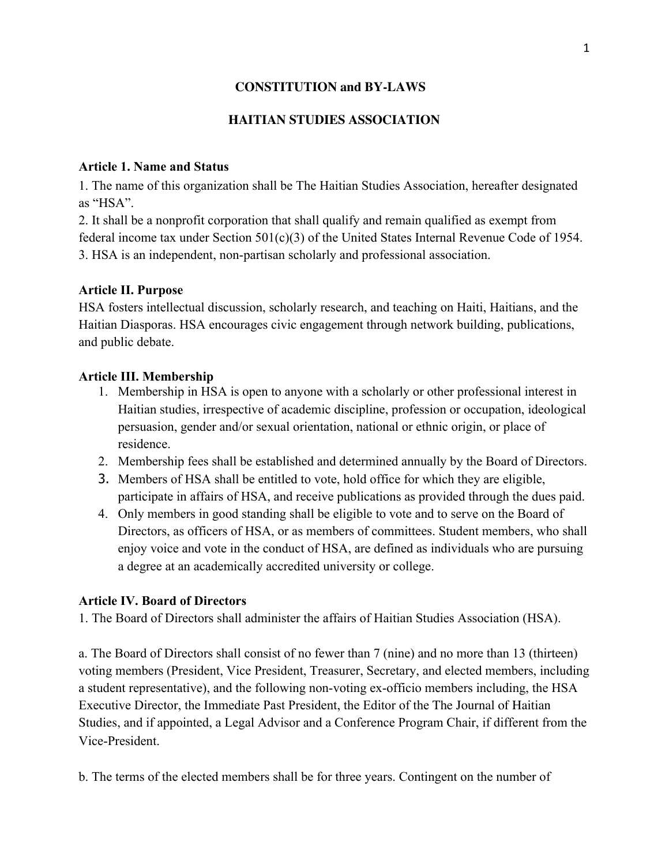# **CONSTITUTION and BY-LAWS**

# **HAITIAN STUDIES ASSOCIATION**

## **Article 1. Name and Status**

1. The name of this organization shall be The Haitian Studies Association, hereafter designated as "HSA".

2. It shall be a nonprofit corporation that shall qualify and remain qualified as exempt from federal income tax under Section 501(c)(3) of the United States Internal Revenue Code of 1954. 3. HSA is an independent, non-partisan scholarly and professional association.

## **Article II. Purpose**

HSA fosters intellectual discussion, scholarly research, and teaching on Haiti, Haitians, and the Haitian Diasporas. HSA encourages civic engagement through network building, publications, and public debate.

## **Article III. Membership**

- 1. Membership in HSA is open to anyone with a scholarly or other professional interest in Haitian studies, irrespective of academic discipline, profession or occupation, ideological persuasion, gender and/or sexual orientation, national or ethnic origin, or place of residence.
- 2. Membership fees shall be established and determined annually by the Board of Directors.
- 3. Members of HSA shall be entitled to vote, hold office for which they are eligible, participate in affairs of HSA, and receive publications as provided through the dues paid.
- 4. Only members in good standing shall be eligible to vote and to serve on the Board of Directors, as officers of HSA, or as members of committees. Student members, who shall enjoy voice and vote in the conduct of HSA, are defined as individuals who are pursuing a degree at an academically accredited university or college.

## **Article IV. Board of Directors**

1. The Board of Directors shall administer the affairs of Haitian Studies Association (HSA).

a. The Board of Directors shall consist of no fewer than 7 (nine) and no more than 13 (thirteen) voting members (President, Vice President, Treasurer, Secretary, and elected members, including a student representative), and the following non-voting ex-officio members including, the HSA Executive Director, the Immediate Past President, the Editor of the The Journal of Haitian Studies, and if appointed, a Legal Advisor and a Conference Program Chair, if different from the Vice-President.

b. The terms of the elected members shall be for three years. Contingent on the number of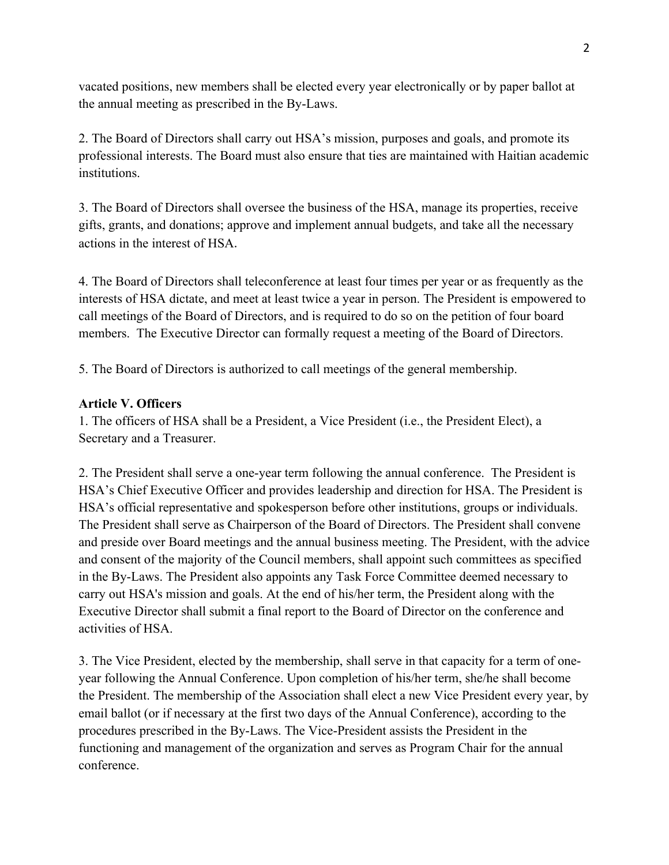vacated positions, new members shall be elected every year electronically or by paper ballot at the annual meeting as prescribed in the By-Laws.

2. The Board of Directors shall carry out HSA's mission, purposes and goals, and promote its professional interests. The Board must also ensure that ties are maintained with Haitian academic institutions.

3. The Board of Directors shall oversee the business of the HSA, manage its properties, receive gifts, grants, and donations; approve and implement annual budgets, and take all the necessary actions in the interest of HSA.

4. The Board of Directors shall teleconference at least four times per year or as frequently as the interests of HSA dictate, and meet at least twice a year in person. The President is empowered to call meetings of the Board of Directors, and is required to do so on the petition of four board members. The Executive Director can formally request a meeting of the Board of Directors.

5. The Board of Directors is authorized to call meetings of the general membership.

# **Article V. Officers**

1. The officers of HSA shall be a President, a Vice President (i.e., the President Elect), a Secretary and a Treasurer.

2. The President shall serve a one-year term following the annual conference. The President is HSA's Chief Executive Officer and provides leadership and direction for HSA. The President is HSA's official representative and spokesperson before other institutions, groups or individuals. The President shall serve as Chairperson of the Board of Directors. The President shall convene and preside over Board meetings and the annual business meeting. The President, with the advice and consent of the majority of the Council members, shall appoint such committees as specified in the By-Laws. The President also appoints any Task Force Committee deemed necessary to carry out HSA's mission and goals. At the end of his/her term, the President along with the Executive Director shall submit a final report to the Board of Director on the conference and activities of HSA.

3. The Vice President, elected by the membership, shall serve in that capacity for a term of oneyear following the Annual Conference. Upon completion of his/her term, she/he shall become the President. The membership of the Association shall elect a new Vice President every year, by email ballot (or if necessary at the first two days of the Annual Conference), according to the procedures prescribed in the By-Laws. The Vice-President assists the President in the functioning and management of the organization and serves as Program Chair for the annual conference.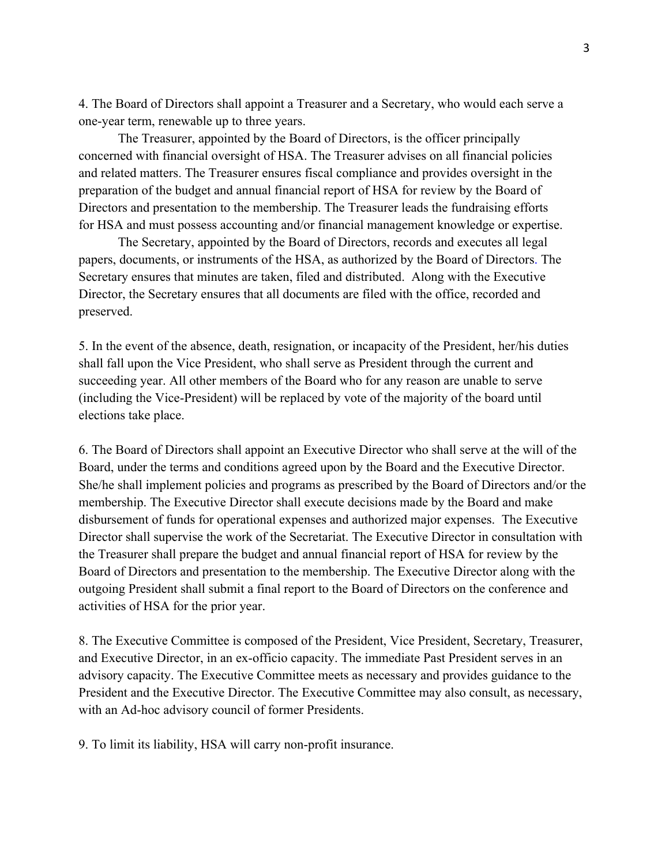4. The Board of Directors shall appoint a Treasurer and a Secretary, who would each serve a one-year term, renewable up to three years.

The Treasurer, appointed by the Board of Directors, is the officer principally concerned with financial oversight of HSA. The Treasurer advises on all financial policies and related matters. The Treasurer ensures fiscal compliance and provides oversight in the preparation of the budget and annual financial report of HSA for review by the Board of Directors and presentation to the membership. The Treasurer leads the fundraising efforts for HSA and must possess accounting and/or financial management knowledge or expertise.

The Secretary, appointed by the Board of Directors, records and executes all legal papers, documents, or instruments of the HSA, as authorized by the Board of Directors. The Secretary ensures that minutes are taken, filed and distributed. Along with the Executive Director, the Secretary ensures that all documents are filed with the office, recorded and preserved.

5. In the event of the absence, death, resignation, or incapacity of the President, her/his duties shall fall upon the Vice President, who shall serve as President through the current and succeeding year. All other members of the Board who for any reason are unable to serve (including the Vice-President) will be replaced by vote of the majority of the board until elections take place.

6. The Board of Directors shall appoint an Executive Director who shall serve at the will of the Board, under the terms and conditions agreed upon by the Board and the Executive Director. She/he shall implement policies and programs as prescribed by the Board of Directors and/or the membership. The Executive Director shall execute decisions made by the Board and make disbursement of funds for operational expenses and authorized major expenses. The Executive Director shall supervise the work of the Secretariat. The Executive Director in consultation with the Treasurer shall prepare the budget and annual financial report of HSA for review by the Board of Directors and presentation to the membership. The Executive Director along with the outgoing President shall submit a final report to the Board of Directors on the conference and activities of HSA for the prior year.

8. The Executive Committee is composed of the President, Vice President, Secretary, Treasurer, and Executive Director, in an ex-officio capacity. The immediate Past President serves in an advisory capacity. The Executive Committee meets as necessary and provides guidance to the President and the Executive Director. The Executive Committee may also consult, as necessary, with an Ad-hoc advisory council of former Presidents.

9. To limit its liability, HSA will carry non-profit insurance.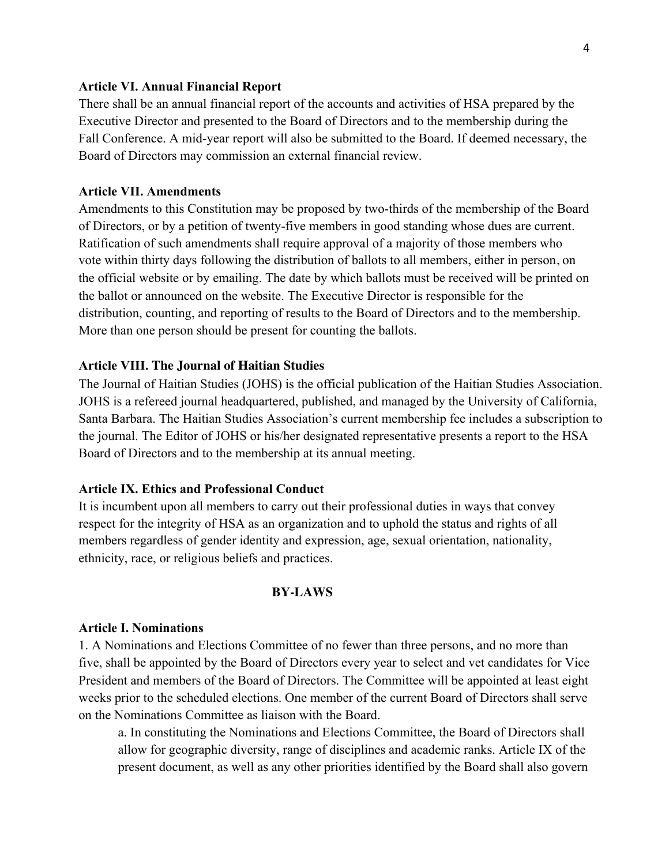#### **Article VI. Annual Financial Report**

There shall be an annual financial report of the accounts and activities of HSA prepared by the Executive Director and presented to the Board of Directors and to the membership during the Fall Conference. A mid-year report will also be submitted to the Board. If deemed necessary, the Board of Directors may commission an external financial review.

#### **Article VII. Amendments**

Amendments to this Constitution may be proposed by two-thirds of the membership of the Board of Directors, or by a petition of twenty-five members in good standing whose dues are current. Ratification of such amendments shall require approval of a majority of those members who vote within thirty days following the distribution of ballots to all members, either in person, on the official website or by emailing. The date by which ballots must be received will be printed on the ballot or announced on the website. The Executive Director is responsible for the distribution, counting, and reporting of results to the Board of Directors and to the membership. More than one person should be present for counting the ballots.

#### **Article VIII. The Journal of Haitian Studies**

The Journal of Haitian Studies (JOHS) is the official publication of the Haitian Studies Association. JOHS is a refereed journal headquartered, published, and managed by the University of California, Santa Barbara. The Haitian Studies Association's current membership fee includes a subscription to the journal. The Editor of JOHS or his/her designated representative presents a report to the HSA Board of Directors and to the membership at its annual meeting.

### **Article IX. Ethics and Professional Conduct**

It is incumbent upon all members to carry out their professional duties in ways that convey respect for the integrity of HSA as an organization and to uphold the status and rights of all members regardless of gender identity and expression, age, sexual orientation, nationality, ethnicity, race, or religious beliefs and practices.

#### **BY-LAWS**

#### **Article I. Nominations**

1. A Nominations and Elections Committee of no fewer than three persons, and no more than five, shall be appointed by the Board of Directors every year to select and vet candidates for Vice President and members of the Board of Directors. The Committee will be appointed at least eight weeks prior to the scheduled elections. One member of the current Board of Directors shall serve on the Nominations Committee as liaison with the Board.

a. In constituting the Nominations and Elections Committee, the Board of Directors shall allow for geographic diversity, range of disciplines and academic ranks. Article IX of the present document, as well as any other priorities identified by the Board shall also govern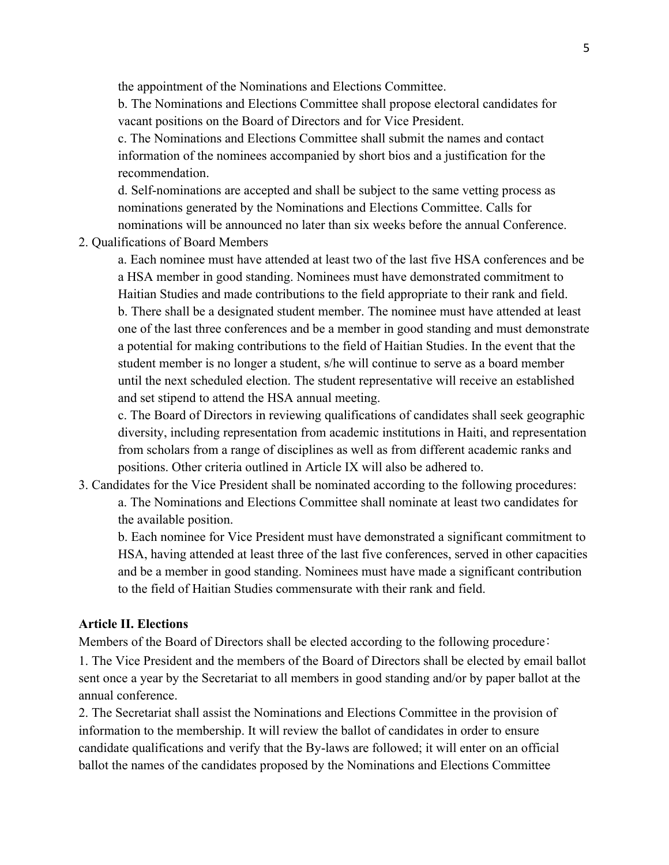the appointment of the Nominations and Elections Committee.

b. The Nominations and Elections Committee shall propose electoral candidates for vacant positions on the Board of Directors and for Vice President.

c. The Nominations and Elections Committee shall submit the names and contact information of the nominees accompanied by short bios and a justification for the recommendation.

d. Self-nominations are accepted and shall be subject to the same vetting process as nominations generated by the Nominations and Elections Committee. Calls for nominations will be announced no later than six weeks before the annual Conference.

2. Qualifications of Board Members

a. Each nominee must have attended at least two of the last five HSA conferences and be a HSA member in good standing. Nominees must have demonstrated commitment to Haitian Studies and made contributions to the field appropriate to their rank and field. b. There shall be a designated student member. The nominee must have attended at least one of the last three conferences and be a member in good standing and must demonstrate a potential for making contributions to the field of Haitian Studies. In the event that the student member is no longer a student, s/he will continue to serve as a board member until the next scheduled election. The student representative will receive an established and set stipend to attend the HSA annual meeting.

c. The Board of Directors in reviewing qualifications of candidates shall seek geographic diversity, including representation from academic institutions in Haiti, and representation from scholars from a range of disciplines as well as from different academic ranks and positions. Other criteria outlined in Article IX will also be adhered to.

3. Candidates for the Vice President shall be nominated according to the following procedures: a. The Nominations and Elections Committee shall nominate at least two candidates for the available position.

b. Each nominee for Vice President must have demonstrated a significant commitment to HSA, having attended at least three of the last five conferences, served in other capacities and be a member in good standing. Nominees must have made a significant contribution to the field of Haitian Studies commensurate with their rank and field.

#### **Article II. Elections**

Members of the Board of Directors shall be elected according to the following procedure: 1. The Vice President and the members of the Board of Directors shall be elected by email ballot sent once a year by the Secretariat to all members in good standing and/or by paper ballot at the annual conference.

2. The Secretariat shall assist the Nominations and Elections Committee in the provision of information to the membership. It will review the ballot of candidates in order to ensure candidate qualifications and verify that the By-laws are followed; it will enter on an official ballot the names of the candidates proposed by the Nominations and Elections Committee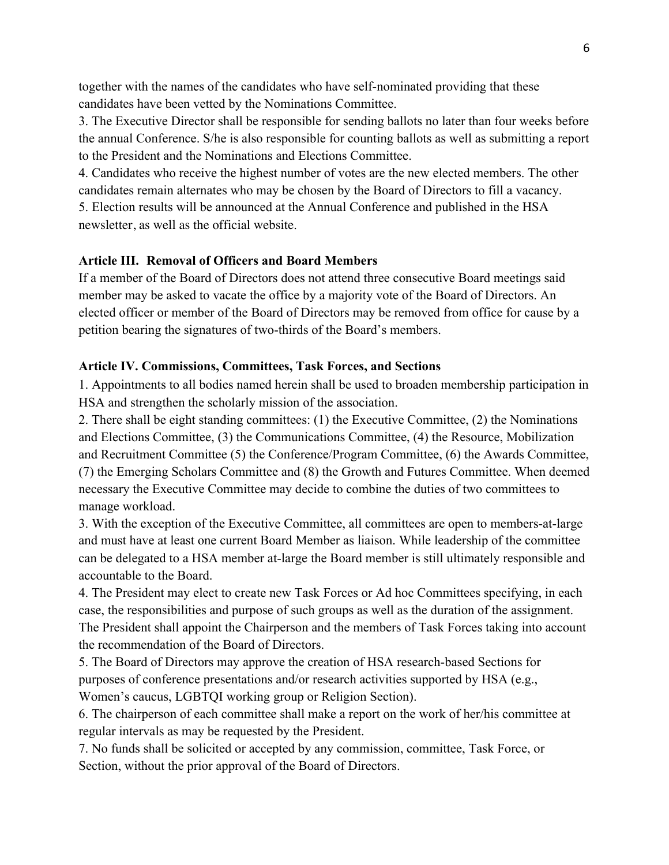together with the names of the candidates who have self-nominated providing that these candidates have been vetted by the Nominations Committee.

3. The Executive Director shall be responsible for sending ballots no later than four weeks before the annual Conference. S/he is also responsible for counting ballots as well as submitting a report to the President and the Nominations and Elections Committee.

4. Candidates who receive the highest number of votes are the new elected members. The other candidates remain alternates who may be chosen by the Board of Directors to fill a vacancy.

5. Election results will be announced at the Annual Conference and published in the HSA newsletter, as well as the official website.

## **Article III. Removal of Officers and Board Members**

If a member of the Board of Directors does not attend three consecutive Board meetings said member may be asked to vacate the office by a majority vote of the Board of Directors. An elected officer or member of the Board of Directors may be removed from office for cause by a petition bearing the signatures of two-thirds of the Board's members.

## **Article IV. Commissions, Committees, Task Forces, and Sections**

1. Appointments to all bodies named herein shall be used to broaden membership participation in HSA and strengthen the scholarly mission of the association.

2. There shall be eight standing committees: (1) the Executive Committee, (2) the Nominations and Elections Committee, (3) the Communications Committee, (4) the Resource, Mobilization and Recruitment Committee (5) the Conference/Program Committee, (6) the Awards Committee, (7) the Emerging Scholars Committee and (8) the Growth and Futures Committee. When deemed necessary the Executive Committee may decide to combine the duties of two committees to manage workload.

3. With the exception of the Executive Committee, all committees are open to members-at-large and must have at least one current Board Member as liaison. While leadership of the committee can be delegated to a HSA member at-large the Board member is still ultimately responsible and accountable to the Board.

4. The President may elect to create new Task Forces or Ad hoc Committees specifying, in each case, the responsibilities and purpose of such groups as well as the duration of the assignment. The President shall appoint the Chairperson and the members of Task Forces taking into account the recommendation of the Board of Directors.

5. The Board of Directors may approve the creation of HSA research-based Sections for purposes of conference presentations and/or research activities supported by HSA (e.g., Women's caucus, LGBTQI working group or Religion Section).

6. The chairperson of each committee shall make a report on the work of her/his committee at regular intervals as may be requested by the President.

7. No funds shall be solicited or accepted by any commission, committee, Task Force, or Section, without the prior approval of the Board of Directors.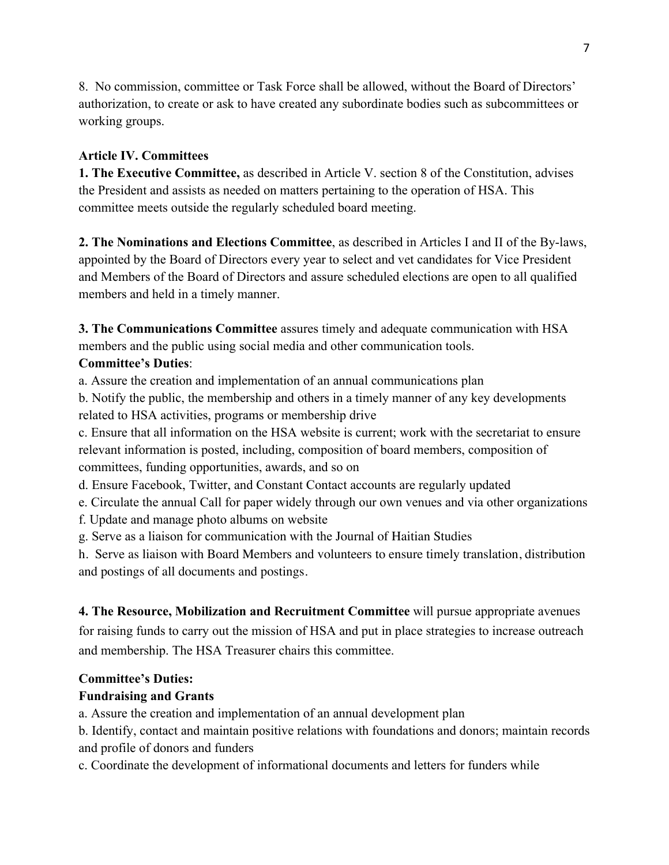8. No commission, committee or Task Force shall be allowed, without the Board of Directors' authorization, to create or ask to have created any subordinate bodies such as subcommittees or working groups.

## **Article IV. Committees**

**1. The Executive Committee,** as described in Article V. section 8 of the Constitution, advises the President and assists as needed on matters pertaining to the operation of HSA. This committee meets outside the regularly scheduled board meeting.

**2. The Nominations and Elections Committee**, as described in Articles I and II of the By-laws, appointed by the Board of Directors every year to select and vet candidates for Vice President and Members of the Board of Directors and assure scheduled elections are open to all qualified members and held in a timely manner.

**3. The Communications Committee** assures timely and adequate communication with HSA members and the public using social media and other communication tools.

# **Committee's Duties**:

a. Assure the creation and implementation of an annual communications plan

b. Notify the public, the membership and others in a timely manner of any key developments related to HSA activities, programs or membership drive

c. Ensure that all information on the HSA website is current; work with the secretariat to ensure relevant information is posted, including, composition of board members, composition of committees, funding opportunities, awards, and so on

d. Ensure Facebook, Twitter, and Constant Contact accounts are regularly updated

e. Circulate the annual Call for paper widely through our own venues and via other organizations

f. Update and manage photo albums on website

g. Serve as a liaison for communication with the Journal of Haitian Studies

h. Serve as liaison with Board Members and volunteers to ensure timely translation, distribution and postings of all documents and postings.

# **4. The Resource, Mobilization and Recruitment Committee** will pursue appropriate avenues

for raising funds to carry out the mission of HSA and put in place strategies to increase outreach and membership. The HSA Treasurer chairs this committee.

# **Committee's Duties:**

# **Fundraising and Grants**

a. Assure the creation and implementation of an annual development plan

b. Identify, contact and maintain positive relations with foundations and donors; maintain records and profile of donors and funders

c. Coordinate the development of informational documents and letters for funders while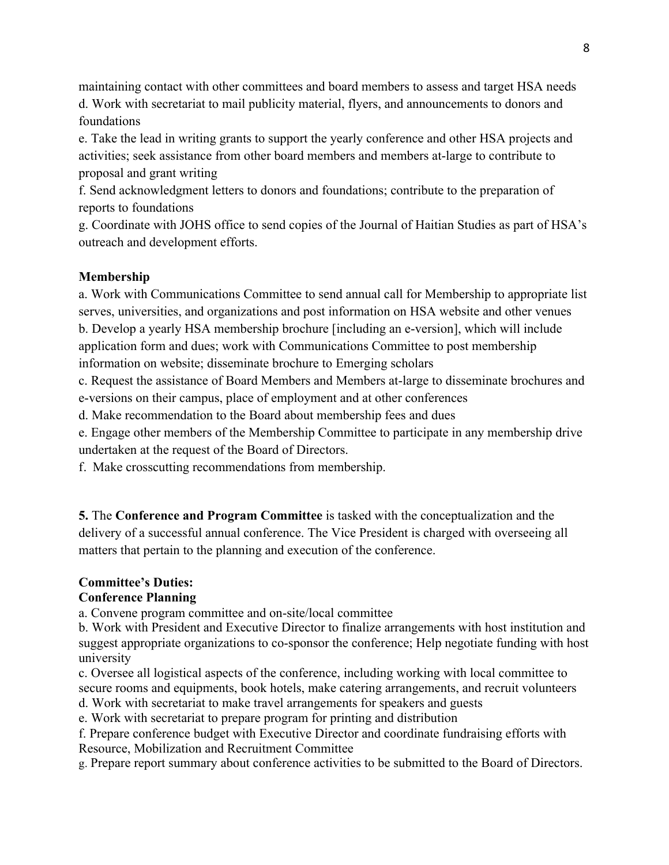maintaining contact with other committees and board members to assess and target HSA needs d. Work with secretariat to mail publicity material, flyers, and announcements to donors and foundations

e. Take the lead in writing grants to support the yearly conference and other HSA projects and activities; seek assistance from other board members and members at-large to contribute to proposal and grant writing

f. Send acknowledgment letters to donors and foundations; contribute to the preparation of reports to foundations

g. Coordinate with JOHS office to send copies of the Journal of Haitian Studies as part of HSA's outreach and development efforts.

## **Membership**

a. Work with Communications Committee to send annual call for Membership to appropriate list serves, universities, and organizations and post information on HSA website and other venues b. Develop a yearly HSA membership brochure [including an e-version], which will include application form and dues; work with Communications Committee to post membership information on website; disseminate brochure to Emerging scholars

c. Request the assistance of Board Members and Members at-large to disseminate brochures and e-versions on their campus, place of employment and at other conferences

d. Make recommendation to the Board about membership fees and dues

e. Engage other members of the Membership Committee to participate in any membership drive undertaken at the request of the Board of Directors.

f. Make crosscutting recommendations from membership.

**5.** The **Conference and Program Committee** is tasked with the conceptualization and the delivery of a successful annual conference. The Vice President is charged with overseeing all matters that pertain to the planning and execution of the conference.

## **Committee's Duties:**

## **Conference Planning**

a. Convene program committee and on-site/local committee

b. Work with President and Executive Director to finalize arrangements with host institution and suggest appropriate organizations to co-sponsor the conference; Help negotiate funding with host university

c. Oversee all logistical aspects of the conference, including working with local committee to secure rooms and equipments, book hotels, make catering arrangements, and recruit volunteers

d. Work with secretariat to make travel arrangements for speakers and guests

e. Work with secretariat to prepare program for printing and distribution

f. Prepare conference budget with Executive Director and coordinate fundraising efforts with Resource, Mobilization and Recruitment Committee

g. Prepare report summary about conference activities to be submitted to the Board of Directors.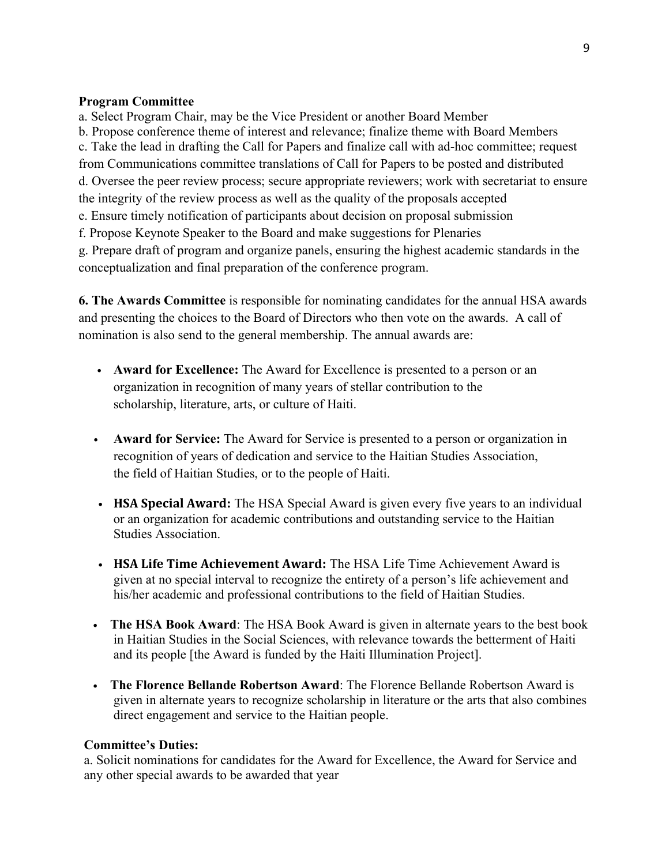### **Program Committee**

a. Select Program Chair, may be the Vice President or another Board Member b. Propose conference theme of interest and relevance; finalize theme with Board Members c. Take the lead in drafting the Call for Papers and finalize call with ad-hoc committee; request from Communications committee translations of Call for Papers to be posted and distributed d. Oversee the peer review process; secure appropriate reviewers; work with secretariat to ensure the integrity of the review process as well as the quality of the proposals accepted e. Ensure timely notification of participants about decision on proposal submission

f. Propose Keynote Speaker to the Board and make suggestions for Plenaries

g. Prepare draft of program and organize panels, ensuring the highest academic standards in the conceptualization and final preparation of the conference program.

**6. The Awards Committee** is responsible for nominating candidates for the annual HSA awards and presenting the choices to the Board of Directors who then vote on the awards. A call of nomination is also send to the general membership. The annual awards are:

- **Award for Excellence:** The Award for Excellence is presented to a person or an organization in recognition of many years of stellar contribution to the scholarship, literature, arts, or culture of Haiti.
- **Award for Service:** The Award for Service is presented to a person or organization in recognition of years of dedication and service to the Haitian Studies Association, the field of Haitian Studies, or to the people of Haiti.
- **HSA Special Award:** The HSA Special Award is given every five years to an individual or an organization for academic contributions and outstanding service to the Haitian Studies Association.
- **HSA Life Time Achievement Award:** The HSA Life Time Achievement Award is given at no special interval to recognize the entirety of a person's life achievement and his/her academic and professional contributions to the field of Haitian Studies.
- The HSA Book Award: The HSA Book Award is given in alternate years to the best book in Haitian Studies in the Social Sciences, with relevance towards the betterment of Haiti and its people [the Award is funded by the Haiti Illumination Project].
- • **The Florence Bellande Robertson Award**: The Florence Bellande Robertson Award is given in alternate years to recognize scholarship in literature or the arts that also combines direct engagement and service to the Haitian people.

### **Committee's Duties:**

a. Solicit nominations for candidates for the Award for Excellence, the Award for Service and any other special awards to be awarded that year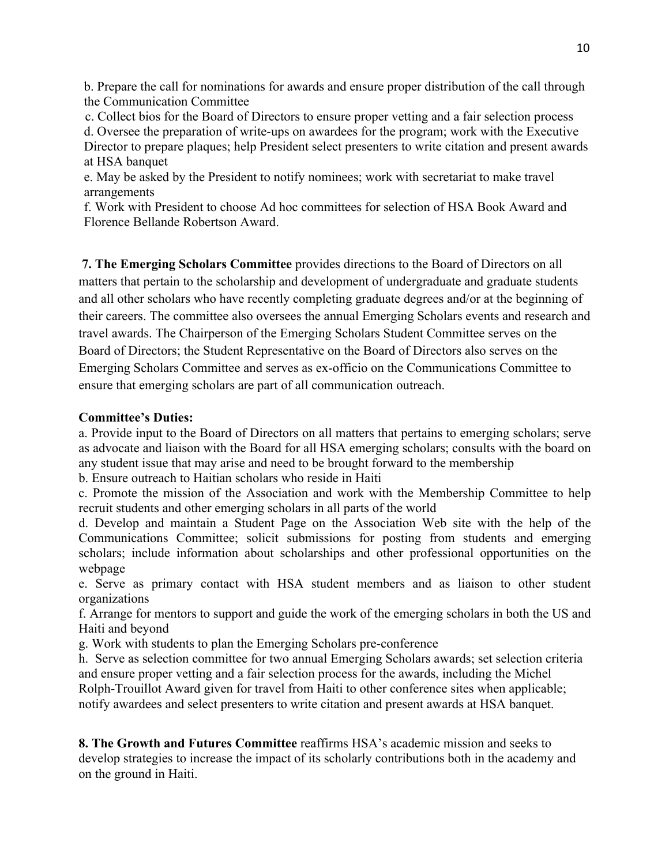b. Prepare the call for nominations for awards and ensure proper distribution of the call through the Communication Committee

c. Collect bios for the Board of Directors to ensure proper vetting and a fair selection process

d. Oversee the preparation of write-ups on awardees for the program; work with the Executive Director to prepare plaques; help President select presenters to write citation and present awards at HSA banquet

e. May be asked by the President to notify nominees; work with secretariat to make travel arrangements

f. Work with President to choose Ad hoc committees for selection of HSA Book Award and Florence Bellande Robertson Award.

**7. The Emerging Scholars Committee** provides directions to the Board of Directors on all matters that pertain to the scholarship and development of undergraduate and graduate students and all other scholars who have recently completing graduate degrees and/or at the beginning of their careers. The committee also oversees the annual Emerging Scholars events and research and travel awards. The Chairperson of the Emerging Scholars Student Committee serves on the Board of Directors; the Student Representative on the Board of Directors also serves on the Emerging Scholars Committee and serves as ex-officio on the Communications Committee to ensure that emerging scholars are part of all communication outreach.

## **Committee's Duties:**

a. Provide input to the Board of Directors on all matters that pertains to emerging scholars; serve as advocate and liaison with the Board for all HSA emerging scholars; consults with the board on any student issue that may arise and need to be brought forward to the membership

b. Ensure outreach to Haitian scholars who reside in Haiti

c. Promote the mission of the Association and work with the Membership Committee to help recruit students and other emerging scholars in all parts of the world

d. Develop and maintain a Student Page on the Association Web site with the help of the Communications Committee; solicit submissions for posting from students and emerging scholars; include information about scholarships and other professional opportunities on the webpage

e. Serve as primary contact with HSA student members and as liaison to other student organizations

f. Arrange for mentors to support and guide the work of the emerging scholars in both the US and Haiti and beyond

g. Work with students to plan the Emerging Scholars pre-conference

h. Serve as selection committee for two annual Emerging Scholars awards; set selection criteria and ensure proper vetting and a fair selection process for the awards, including the Michel Rolph-Trouillot Award given for travel from Haiti to other conference sites when applicable; notify awardees and select presenters to write citation and present awards at HSA banquet.

**8. The Growth and Futures Committee** reaffirms HSA's academic mission and seeks to develop strategies to increase the impact of its scholarly contributions both in the academy and on the ground in Haiti.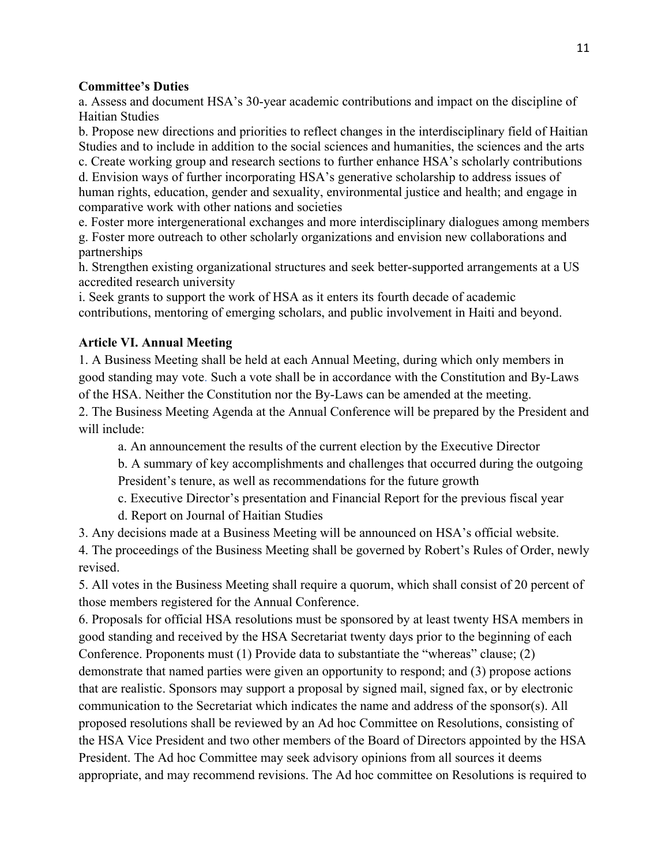## **Committee's Duties**

a. Assess and document HSA's 30-year academic contributions and impact on the discipline of Haitian Studies

b. Propose new directions and priorities to reflect changes in the interdisciplinary field of Haitian Studies and to include in addition to the social sciences and humanities, the sciences and the arts

c. Create working group and research sections to further enhance HSA's scholarly contributions d. Envision ways of further incorporating HSA's generative scholarship to address issues of human rights, education, gender and sexuality, environmental justice and health; and engage in comparative work with other nations and societies

e. Foster more intergenerational exchanges and more interdisciplinary dialogues among members g. Foster more outreach to other scholarly organizations and envision new collaborations and partnerships

h. Strengthen existing organizational structures and seek better-supported arrangements at a US accredited research university

i. Seek grants to support the work of HSA as it enters its fourth decade of academic contributions, mentoring of emerging scholars, and public involvement in Haiti and beyond.

# **Article VI. Annual Meeting**

1. A Business Meeting shall be held at each Annual Meeting, during which only members in good standing may vote. Such a vote shall be in accordance with the Constitution and By-Laws of the HSA. Neither the Constitution nor the By-Laws can be amended at the meeting.

2. The Business Meeting Agenda at the Annual Conference will be prepared by the President and will include:

a. An announcement the results of the current election by the Executive Director

b. A summary of key accomplishments and challenges that occurred during the outgoing President's tenure, as well as recommendations for the future growth

c. Executive Director's presentation and Financial Report for the previous fiscal year

d. Report on Journal of Haitian Studies

3. Any decisions made at a Business Meeting will be announced on HSA's official website. 4. The proceedings of the Business Meeting shall be governed by Robert's Rules of Order, newly revised.

5. All votes in the Business Meeting shall require a quorum, which shall consist of 20 percent of those members registered for the Annual Conference.

6. Proposals for official HSA resolutions must be sponsored by at least twenty HSA members in good standing and received by the HSA Secretariat twenty days prior to the beginning of each Conference. Proponents must (1) Provide data to substantiate the "whereas" clause; (2) demonstrate that named parties were given an opportunity to respond; and (3) propose actions that are realistic. Sponsors may support a proposal by signed mail, signed fax, or by electronic communication to the Secretariat which indicates the name and address of the sponsor(s). All proposed resolutions shall be reviewed by an Ad hoc Committee on Resolutions, consisting of the HSA Vice President and two other members of the Board of Directors appointed by the HSA President. The Ad hoc Committee may seek advisory opinions from all sources it deems appropriate, and may recommend revisions. The Ad hoc committee on Resolutions is required to